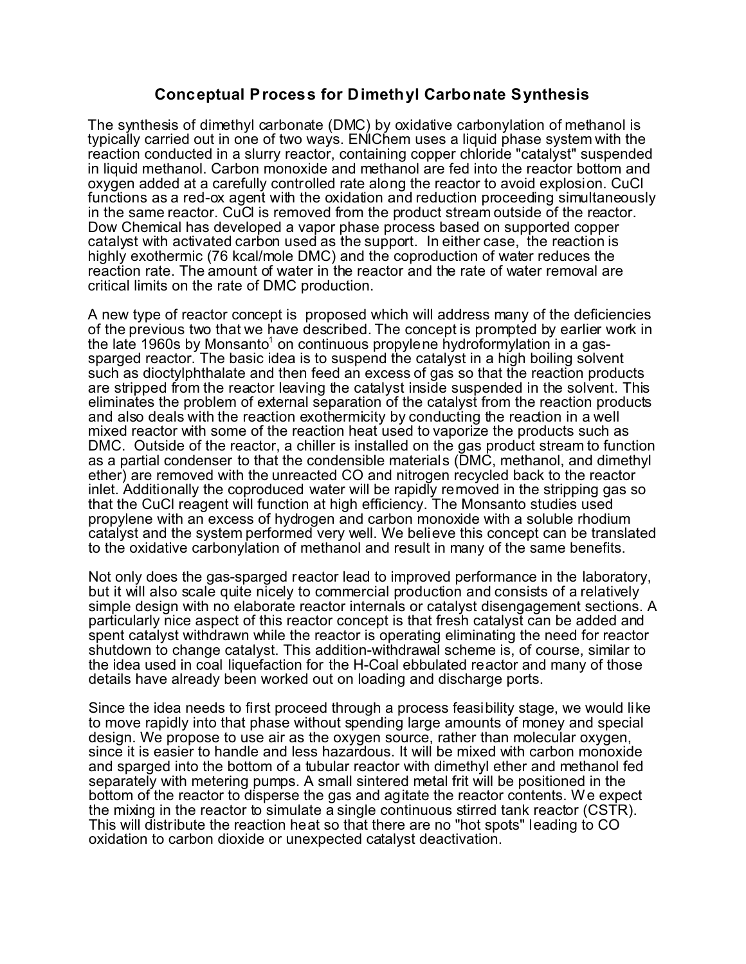## **Conceptual Process for Dimethyl Carbonate Synthesis**

The synthesis of dimethyl carbonate (DMC) by oxidative carbonylation of methanol is typically carried out in one of two ways. ENIChem uses a liquid phase system with the reaction conducted in a slurry reactor, containing copper chloride "catalyst" suspended in liquid methanol. Carbon monoxide and methanol are fed into the reactor bottom and oxygen added at a carefully controlled rate along the reactor to avoid explosion. CuCl functions as a red-ox agent with the oxidation and reduction proceeding simultaneously in the same reactor. CuCl is removed from the product stream outside of the reactor. Dow Chemical has developed a vapor phase process based on supported copper catalyst with activated carbon used as the support. In either case, the reaction is highly exothermic (76 kcal/mole DMC) and the coproduction of water reduces the reaction rate. The amount of water in the reactor and the rate of water removal are critical limits on the rate of DMC production.

A new type of reactor concept is proposed which will address many of the deficiencies of the previous two that we have described. The concept is prompted by earlier work in the late 1960s by Monsanto<sup>1</sup> on continuous propylene hydroformylation in a gassparged reactor. The basic idea is to suspend the catalyst in a high boiling solvent such as dioctylphthalate and then feed an excess of gas so that the reaction products are stripped from the reactor leaving the catalyst inside suspended in the solvent. This eliminates the problem of external separation of the catalyst from the reaction products and also deals with the reaction exothermicity by conducting the reaction in a well mixed reactor with some of the reaction heat used to vaporize the products such as DMC. Outside of the reactor, a chiller is installed on the gas product stream to function as a partial condenser to that the condensible materials (DMC, methanol, and dimethyl ether) are removed with the unreacted CO and nitrogen recycled back to the reactor inlet. Additionally the coproduced water will be rapidly removed in the stripping gas so that the CuCl reagent will function at high efficiency. The Monsanto studies used propylene with an excess of hydrogen and carbon monoxide with a soluble rhodium catalyst and the system performed very well. We believe this concept can be translated to the oxidative carbonylation of methanol and result in many of the same benefits.

Not only does the gas-sparged reactor lead to improved performance in the laboratory, but it will also scale quite nicely to commercial production and consists of a relatively simple design with no elaborate reactor internals or catalyst disengagement sections. A particularly nice aspect of this reactor concept is that fresh catalyst can be added and spent catalyst withdrawn while the reactor is operating eliminating the need for reactor shutdown to change catalyst. This addition-withdrawal scheme is, of course, similar to the idea used in coal liquefaction for the H-Coal ebbulated reactor and many of those details have already been worked out on loading and discharge ports.

Since the idea needs to first proceed through a process feasibility stage, we would like to move rapidly into that phase without spending large amounts of money and special design. We propose to use air as the oxygen source, rather than molecular oxygen, since it is easier to handle and less hazardous. It will be mixed with carbon monoxide and sparged into the bottom of a tubular reactor with dimethyl ether and methanol fed separately with metering pumps. A small sintered metal frit will be positioned in the bottom of the reactor to disperse the gas and agitate the reactor contents. We expect the mixing in the reactor to simulate a single continuous stirred tank reactor (CSTR). This will distribute the reaction heat so that there are no "hot spots" leading to CO oxidation to carbon dioxide or unexpected catalyst deactivation.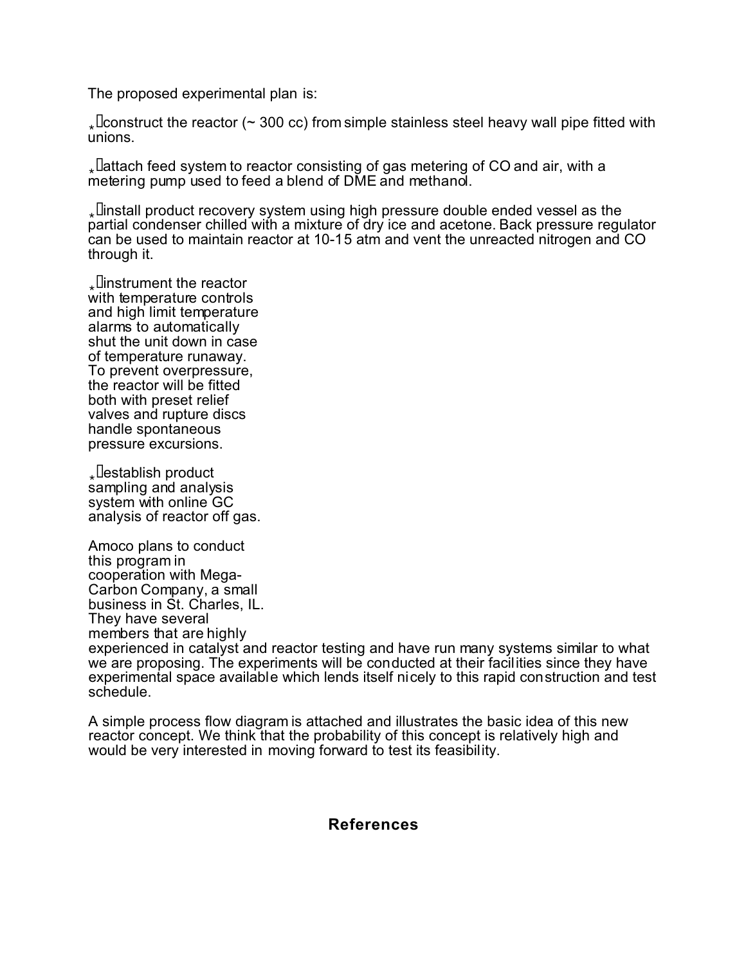The proposed experimental plan is:

. Leonstruct the reactor ( $\sim$  300 cc) from simple stainless steel heavy wall pipe fitted with unions.

. Lattach feed system to reactor consisting of gas metering of CO and air, with a metering pump used to feed a blend of DME and methanol.

. I install product recovery system using high pressure double ended vessel as the partial condenser chilled with a mixture of dry ice and acetone. Back pressure regulator can be used to maintain reactor at 10-15 atm and vent the unreacted nitrogen and CO through it.

**I**linstrument the reactor with temperature controls and high limit temperature alarms to automatically shut the unit down in case of temperature runaway. To prevent overpressure, the reactor will be fitted both with preset relief valves and rupture discs handle spontaneous pressure excursions.

<sub>∗</sub>∐establish product sampling and analysis system with online GC analysis of reactor off gas.

Amoco plans to conduct this program in cooperation with Mega-Carbon Company, a small business in St. Charles, IL. They have several members that are highly experienced in catalyst and reactor testing and have run many systems similar to what we are proposing. The experiments will be conducted at their facilities since they have experimental space available which lends itself nicely to this rapid construction and test schedule.

A simple process flow diagram is attached and illustrates the basic idea of this new reactor concept. We think that the probability of this concept is relatively high and would be very interested in moving forward to test its feasibility.

## **References**